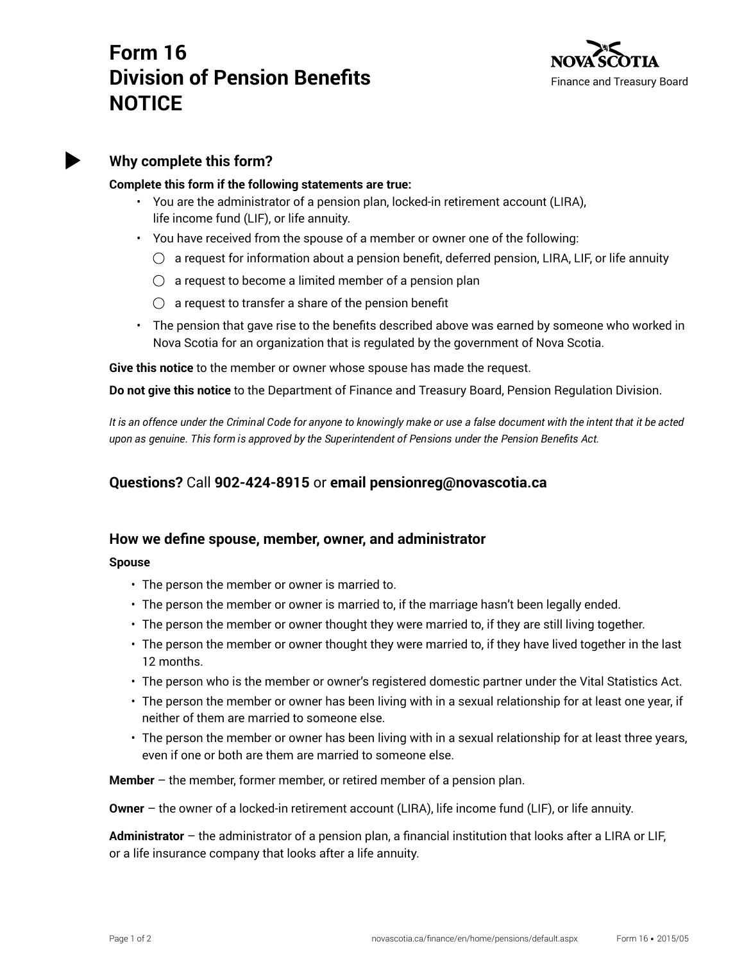# **Form 16 Division of Pension Benefits NOTICE**





### **Why complete this form?**

#### **Complete this form if the following statements are true:**

- You are the administrator of a pension plan, locked-in retirement account (LIRA), life income fund (LIF), or life annuity.
- You have received from the spouse of a member or owner one of the following:
	- $\circlearrowright$  a request for information about a pension benefit, deferred pension, LIRA, LIF, or life annuity
	- $\bigcirc$  a request to become a limited member of a pension plan
	- $\bigcirc$  a request to transfer a share of the pension benefit
- The pension that gave rise to the benefits described above was earned by someone who worked in Nova Scotia for an organization that is regulated by the government of Nova Scotia.

**Give this notice** to the member or owner whose spouse has made the request.

**Do not give this notice** to the Department of Finance and Treasury Board, Pension Regulation Division.

*It is an offence under the Criminal Code for anyone to knowingly make or use a false document with the intent that it be acted upon as genuine. This form is approved by the Superintendent of Pensions under the Pension Benefits Act.*

## **Questions?** Call **902-424-8915** or **email pensionreg@novascotia.ca**

### **How we define spouse, member, owner, and administrator**

**Spouse**

- The person the member or owner is married to.
- The person the member or owner is married to, if the marriage hasn't been legally ended.
- The person the member or owner thought they were married to, if they are still living together.
- The person the member or owner thought they were married to, if they have lived together in the last 12 months.
- The person who is the member or owner's registered domestic partner under the Vital Statistics Act.
- The person the member or owner has been living with in a sexual relationship for at least one year, if neither of them are married to someone else.
- The person the member or owner has been living with in a sexual relationship for at least three years, even if one or both are them are married to someone else.

**Member** – the member, former member, or retired member of a pension plan.

**Owner** – the owner of a locked-in retirement account (LIRA), life income fund (LIF), or life annuity.

**Administrator** – the administrator of a pension plan, a financial institution that looks after a LIRA or LIF, or a life insurance company that looks after a life annuity.